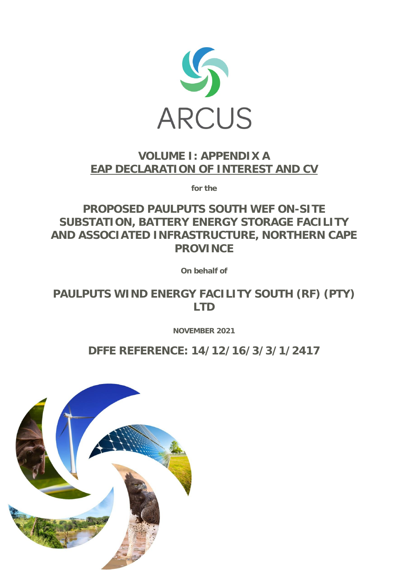

# **VOLUME I: APPENDIX A EAP DECLARATION OF INTEREST AND CV**

**for the**

**PROPOSED PAULPUTS SOUTH WEF ON-SITE SUBSTATION, BATTERY ENERGY STORAGE FACILITY AND ASSOCIATED INFRASTRUCTURE, NORTHERN CAPE PROVINCE** 

**On behalf of**

**PAULPUTS WIND ENERGY FACILITY SOUTH (RF) (PTY) LTD**

**NOVEMBER 2021**

**DFFE REFERENCE: 14/12/16/3/3/1/2417**

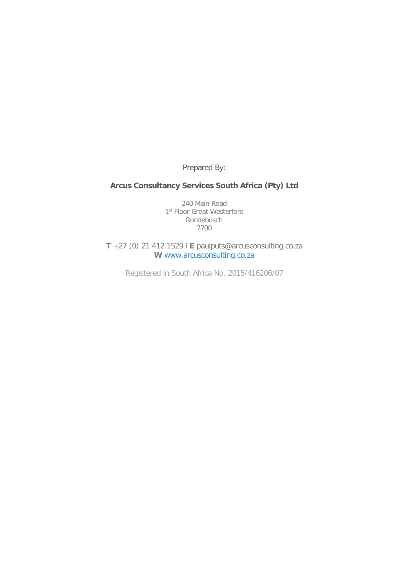Prepared By:

### **Arcus Consultancy Services South Africa (Pty) Ltd**

240 Main Road 1st Floor Great Westerford Rondebosch 7700

**T** +27 (0) 21 412 1529 l **E** paulputs@arcusconsulting.co.za **W** www.arcusconsulting.co.za

Registered in South Africa No. 2015/416206/07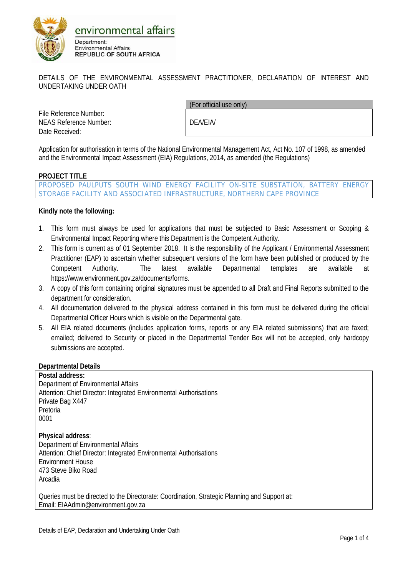

DETAILS OF THE ENVIRONMENTAL ASSESSMENT PRACTITIONER, DECLARATION OF INTEREST AND UNDERTAKING UNDER OATH

File Reference Number: NEAS Reference Number: DEA/EIA/ Date Received:

(For official use only)

Application for authorisation in terms of the National Environmental Management Act, Act No. 107 of 1998, as amended and the Environmental Impact Assessment (EIA) Regulations, 2014, as amended (the Regulations)

### **PROJECT TITLE**

PROPOSED PAULPUTS SOUTH WIND ENERGY FACILITY ON-SITE SUBSTATION, BATTERY ENERGY STORAGE FACILITY AND ASSOCIATED INFRASTRUCTURE, NORTHERN CAPE PROVINCE

**Kindly note the following:**

- 1. This form must always be used for applications that must be subjected to Basic Assessment or Scoping & Environmental Impact Reporting where this Department is the Competent Authority.
- 2. This form is current as of 01 September 2018. It is the responsibility of the Applicant / Environmental Assessment Practitioner (EAP) to ascertain whether subsequent versions of the form have been published or produced by the Competent Authority. The latest available Departmental templates are available at https://www.environment.gov.za/documents/forms.
- 3. A copy of this form containing original signatures must be appended to all Draft and Final Reports submitted to the department for consideration.
- 4. All documentation delivered to the physical address contained in this form must be delivered during the official Departmental Officer Hours which is visible on the Departmental gate.
- 5. All EIA related documents (includes application forms, reports or any EIA related submissions) that are faxed; emailed; delivered to Security or placed in the Departmental Tender Box will not be accepted, only hardcopy submissions are accepted.

**Departmental Details**

**Postal address:** Department of Environmental Affairs Attention: Chief Director: Integrated Environmental Authorisations Private Bag X447 Pretoria 0001 **Physical address**: Department of Environmental Affairs Attention: Chief Director: Integrated Environmental Authorisations Environment House 473 Steve Biko Road Arcadia

Queries must be directed to the Directorate: Coordination, Strategic Planning and Support at: Email: EIAAdmin@environment.gov.za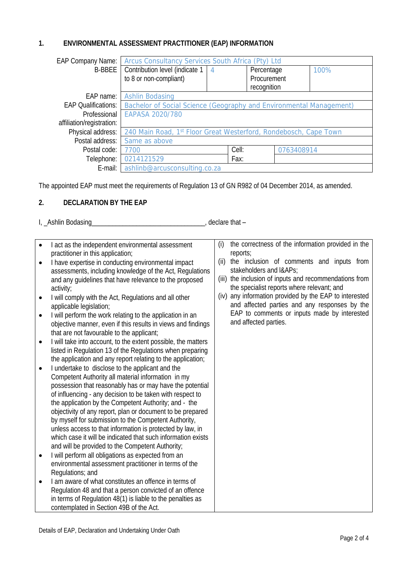### **1. ENVIRONMENTAL ASSESSMENT PRACTITIONER (EAP) INFORMATION**

| <b>EAP Company Name:</b>   | Arcus Consultancy Services South Africa (Pty) Ltd                   |       |             |      |
|----------------------------|---------------------------------------------------------------------|-------|-------------|------|
| B-BBEE                     | Contribution level (indicate 1                                      | 4     | Percentage  | 100% |
|                            | to 8 or non-compliant)                                              |       | Procurement |      |
|                            |                                                                     |       | recognition |      |
| EAP name:                  | Ashlin Bodasing                                                     |       |             |      |
| <b>EAP Qualifications:</b> | Bachelor of Social Science (Geography and Environmental Management) |       |             |      |
| Professional               | EAPASA 2020/780                                                     |       |             |      |
| affiliation/registration:  |                                                                     |       |             |      |
| Physical address:          | 240 Main Road, 1st Floor Great Westerford, Rondebosch, Cape Town    |       |             |      |
| Postal address:            | Same as above                                                       |       |             |      |
| Postal code:               | 7700                                                                | Cell: | 0763408914  |      |
| Telephone:                 | 0214121529                                                          | Fax:  |             |      |
| E-mail:                    | ashlinb@arcusconsulting.co.za                                       |       |             |      |

The appointed EAP must meet the requirements of Regulation 13 of GN R982 of 04 December 2014, as amended.

### **2. DECLARATION BY THE EAP**

I, \_Ashlin Bodasing\_\_\_\_\_\_\_\_\_\_\_\_\_\_\_\_\_\_\_\_\_\_\_\_\_\_\_\_\_\_\_\_\_, declare that –

| act as the independent environmental assessment<br>$\bullet$<br>practitioner in this application;<br>I have expertise in conducting environmental impact<br>$\bullet$<br>assessments, including knowledge of the Act, Regulations<br>and any guidelines that have relevance to the proposed<br>activity;<br>I will comply with the Act, Regulations and all other<br>$\bullet$<br>applicable legislation;<br>I will perform the work relating to the application in an<br>$\bullet$<br>objective manner, even if this results in views and findings<br>that are not favourable to the applicant;<br>I will take into account, to the extent possible, the matters<br>$\bullet$<br>listed in Regulation 13 of the Regulations when preparing<br>the application and any report relating to the application;<br>I undertake to disclose to the applicant and the<br>$\bullet$<br>Competent Authority all material information in my<br>possession that reasonably has or may have the potential<br>of influencing - any decision to be taken with respect to<br>the application by the Competent Authority; and - the<br>objectivity of any report, plan or document to be prepared<br>by myself for submission to the Competent Authority,<br>unless access to that information is protected by law, in<br>which case it will be indicated that such information exists<br>and will be provided to the Competent Authority;<br>$\bullet$ | the correctness of the information provided in the<br>(i)<br>reports;<br>the inclusion of comments and inputs from<br>(ii)<br>stakeholders and I&APs<br>(iii) the inclusion of inputs and recommendations from<br>the specialist reports where relevant; and<br>(iv) any information provided by the EAP to interested<br>and affected parties and any responses by the<br>EAP to comments or inputs made by interested<br>and affected parties. |
|-----------------------------------------------------------------------------------------------------------------------------------------------------------------------------------------------------------------------------------------------------------------------------------------------------------------------------------------------------------------------------------------------------------------------------------------------------------------------------------------------------------------------------------------------------------------------------------------------------------------------------------------------------------------------------------------------------------------------------------------------------------------------------------------------------------------------------------------------------------------------------------------------------------------------------------------------------------------------------------------------------------------------------------------------------------------------------------------------------------------------------------------------------------------------------------------------------------------------------------------------------------------------------------------------------------------------------------------------------------------------------------------------------------------------------------------|--------------------------------------------------------------------------------------------------------------------------------------------------------------------------------------------------------------------------------------------------------------------------------------------------------------------------------------------------------------------------------------------------------------------------------------------------|
| I will perform all obligations as expected from an                                                                                                                                                                                                                                                                                                                                                                                                                                                                                                                                                                                                                                                                                                                                                                                                                                                                                                                                                                                                                                                                                                                                                                                                                                                                                                                                                                                      |                                                                                                                                                                                                                                                                                                                                                                                                                                                  |
| environmental assessment practitioner in terms of the<br>Regulations; and                                                                                                                                                                                                                                                                                                                                                                                                                                                                                                                                                                                                                                                                                                                                                                                                                                                                                                                                                                                                                                                                                                                                                                                                                                                                                                                                                               |                                                                                                                                                                                                                                                                                                                                                                                                                                                  |
| I am aware of what constitutes an offence in terms of<br>$\bullet$<br>Regulation 48 and that a person convicted of an offence<br>in terms of Regulation 48(1) is liable to the penalties as<br>contemplated in Section 49B of the Act.                                                                                                                                                                                                                                                                                                                                                                                                                                                                                                                                                                                                                                                                                                                                                                                                                                                                                                                                                                                                                                                                                                                                                                                                  |                                                                                                                                                                                                                                                                                                                                                                                                                                                  |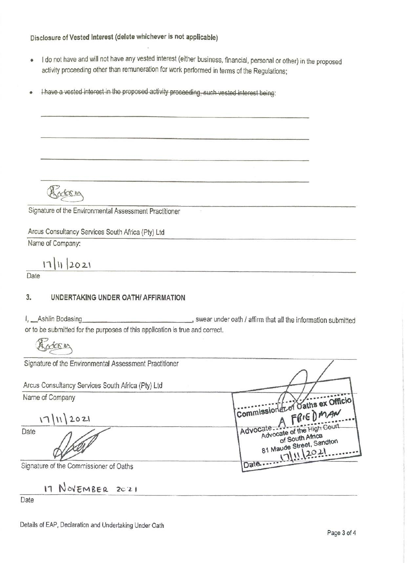### Disclosure of Vested Interest (delete whichever is not applicable)

- I do not have and will not have any vested interest (either business, financial, personal or other) in the proposed  $\bullet$ activity proceeding other than remuneration for work performed in terms of the Regulations;
- I have a vested interest in the proposed activity proceeding, such vested interest being:  $\bullet$

Rocksin

Signature of the Environmental Assessment Practitioner

Arcus Consultancy Services South Africa (Pty) Ltd

Name of Company:

 $17|11|2021$ 

Date

#### $3.$ UNDERTAKING UNDER OATH/ AFFIRMATION

swear under oath / affirm that all the information submitted I, Ashlin Bodasing or to be submitted for the purposes of this application is true and correct.

Accesing

| Signature of the Environmental Assessment Practitioner |                                                                                              |
|--------------------------------------------------------|----------------------------------------------------------------------------------------------|
| Arcus Consultancy Services South Africa (Pty) Ltd      |                                                                                              |
| Name of Company                                        | (Commissioner of Oaths ex Officio)<br>FRIEDMAN                                               |
| 17  12021                                              |                                                                                              |
| Date                                                   | Advocate of the High Court<br>Advocate<br>of South Africa<br>81 Maude Street, Sandton<br>201 |
| Signature of the Commissioner of Oaths                 | $\sqrt{2}$                                                                                   |

17 NOVEMBER 2021

Date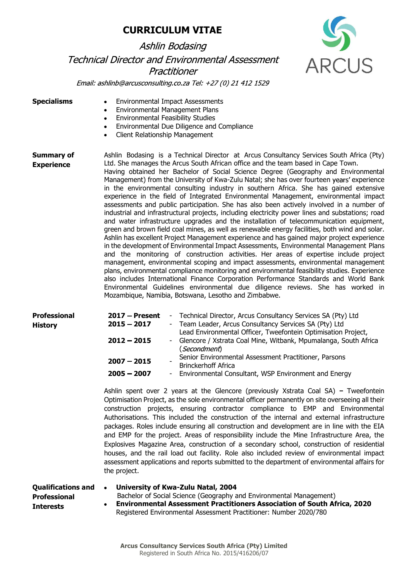# **Ashlin Bodasing Technical Director and Environmental Assessment** Practitioner



Email: ashlinb@arcusconsulting.co.za Tel: +27 (0) 21 412 1529

| Specialisms |  |  |  |
|-------------|--|--|--|
|-------------|--|--|--|

- Environmental Impact Assessments
	- Environmental Management Plans
	- Environmental Feasibility Studies
	- Environmental Due Diligence and Compliance
	- Client Relationship Management

Summary of **Experience** Ashlin Bodasing is a Technical Director at Arcus Consultancy Services South Africa (Pty) Ltd. She manages the Arcus South African office and the team based in Cape Town. Having obtained her Bachelor of Social Science Degree (Geography and Environmental Management) from the University of Kwa-Zulu Natal; she has over fourteen years' experience in the environmental consulting industry in southern Africa. She has gained extensive experience in the field of Integrated Environmental Management, environmental impact assessments and public participation. She has also been actively involved in a number of industrial and infrastructural projects, including electricity power lines and substations; road and water infrastructure upgrades and the installation of telecommunication equipment, green and brown field coal mines, as well as renewable energy facilities, both wind and solar. Ashlin has excellent Project Management experience and has gained major project experience in the development of Environmental Impact Assessments, Environmental Management Plans and the monitoring of construction activities. Her areas of expertise include project management, environmental scoping and impact assessments, environmental management plans, environmental compliance monitoring and environmental feasibility studies. Experience also includes International Finance Corporation Performance Standards and World Bank Environmental Guidelines environmental due diligence reviews. She has worked in Mozambique, Namibia, Botswana, Lesotho and Zimbabwe.

| <b>Professional</b> | $2017 -$ Present | - Technical Director, Arcus Consultancy Services SA (Pty) Ltd                                                           |
|---------------------|------------------|-------------------------------------------------------------------------------------------------------------------------|
| <b>History</b>      | $2015 - 2017$    | - Team Leader, Arcus Consultancy Services SA (Pty) Ltd<br>Lead Environmental Officer, Tweefontein Optimisation Project, |
|                     | $2012 - 2015$    | - Glencore / Xstrata Coal Mine, Witbank, Mpumalanga, South Africa<br>( <i>Secondment</i> )                              |
|                     | $2007 - 2015$    | Senior Environmental Assessment Practitioner, Parsons<br><b>Brinckerhoff Africa</b>                                     |
|                     | $2005 - 2007$    | - Environmental Consultant, WSP Environment and Energy                                                                  |

Ashlin spent over 2 years at the Glencore (previously Xstrata Coal SA) – Tweefontein Optimisation Project, as the sole environmental officer permanently on site overseeing all their construction projects, ensuring contractor compliance to EMP and Environmental Authorisations. This included the construction of the internal and external infrastructure packages. Roles include ensuring all construction and development are in line with the EIA and EMP for the project. Areas of responsibility include the Mine Infrastructure Area, the Explosives Magazine Area, construction of a secondary school, construction of residential houses, and the rail load out facility. Role also included review of environmental impact assessment applications and reports submitted to the department of environmental affairs for the project.

| Qualifications and | University of Kwa-Zulu Natal, 2004                                         |
|--------------------|----------------------------------------------------------------------------|
| Professional       | Bachelor of Social Science (Geography and Environmental Management)        |
| Interests          | • Environmental Assessment Practitioners Association of South Africa, 2020 |
|                    | Registered Environmental Assessment Practitioner: Number 2020/780          |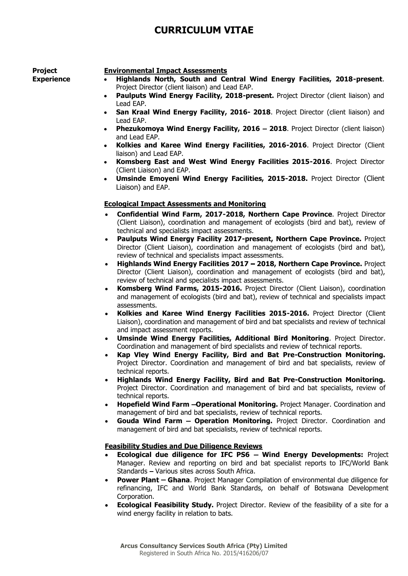#### Project **Experience**

#### Environmental Impact Assessments

- Highlands North, South and Central Wind Energy Facilities, 2018-present. Project Director (client liaison) and Lead EAP.
- Paulputs Wind Energy Facility, 2018-present. Project Director (client liaison) and Lead EAP.
- San Kraal Wind Energy Facility, 2016- 2018. Project Director (client liaison) and Lead EAP.
- Phezukomoya Wind Energy Facility, 2016 2018. Project Director (client liaison) and Lead EAP.
- Kolkies and Karee Wind Energy Facilities, 2016-2016. Project Director (Client liaison) and Lead EAP.
- Komsberg East and West Wind Energy Facilities 2015-2016. Project Director (Client Liaison) and EAP.
- Umsinde Emoyeni Wind Energy Facilities, 2015-2018. Project Director (Client Liaison) and EAP.

#### Ecological Impact Assessments and Monitoring

- Confidential Wind Farm, 2017-2018, Northern Cape Province. Project Director (Client Liaison), coordination and management of ecologists (bird and bat), review of technical and specialists impact assessments.
- Paulputs Wind Energy Facility 2017-present, Northern Cape Province. Project  $\bullet$ Director (Client Liaison), coordination and management of ecologists (bird and bat), review of technical and specialists impact assessments.
- Highlands Wind Energy Facilities 2017 2018, Northern Cape Province. Project  $\bullet$  . Director (Client Liaison), coordination and management of ecologists (bird and bat), review of technical and specialists impact assessments.
- Komsberg Wind Farms, 2015-2016. Project Director (Client Liaison), coordination and management of ecologists (bird and bat), review of technical and specialists impact assessments.
- Kolkies and Karee Wind Energy Facilities 2015-2016. Project Director (Client Liaison), coordination and management of bird and bat specialists and review of technical and impact assessment reports.
- Umsinde Wind Energy Facilities, Additional Bird Monitoring. Project Director.  $\bullet$ Coordination and management of bird specialists and review of technical reports.
- Kap Vley Wind Energy Facility, Bird and Bat Pre-Construction Monitoring. Project Director. Coordination and management of bird and bat specialists, review of technical reports.
- $\bullet$ Highlands Wind Energy Facility, Bird and Bat Pre-Construction Monitoring. Project Director. Coordination and management of bird and bat specialists, review of technical reports.
- Hopefield Wind Farm Operational Monitoring. Project Manager. Coordination and  $\bullet$ management of bird and bat specialists, review of technical reports.
- Gouda Wind Farm Operation Monitoring. Project Director. Coordination and management of bird and bat specialists, review of technical reports.

#### Feasibility Studies and Due Diligence Reviews

- **Ecological due diligence for IFC PS6 Wind Energy Developments:** Project Manager. Review and reporting on bird and bat specialist reports to IFC/World Bank Standards - Various sites across South Africa.
- Power Plant Ghana. Project Manager Compilation of environmental due diligence for refinancing, IFC and World Bank Standards, on behalf of Botswana Development Corporation.
- **Ecological Feasibility Study.** Project Director. Review of the feasibility of a site for a  $\bullet$ wind energy facility in relation to bats.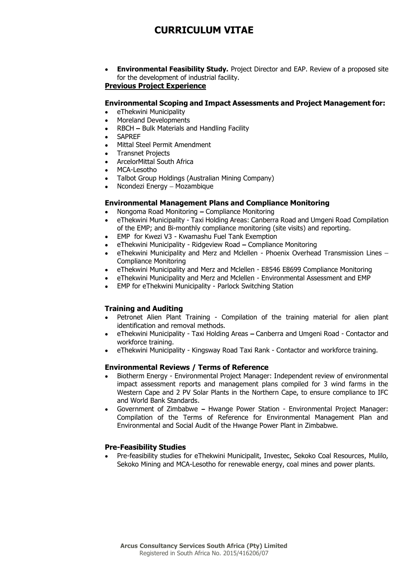$\bullet$ Environmental Feasibility Study. Project Director and EAP. Review of a proposed site for the development of industrial facility.

#### Previous Project Experience

#### Environmental Scoping and Impact Assessments and Project Management for:

- eThekwini Municipality  $\bullet$
- Moreland Developments  $\bullet$
- RBCH Bulk Materials and Handling Facility
- **SAPRFF**
- Mittal Steel Permit Amendment
- Transnet Projects
- ArcelorMittal South Africa  $\bullet$
- MCA-Lesotho  $\bullet$
- Talbot Group Holdings (Australian Mining Company)
- Ncondezi Energy Mozambique

#### Environmental Management Plans and Compliance Monitoring

- Nongoma Road Monitoring Compliance Monitoring  $\bullet$
- eThekwini Municipality Taxi Holding Areas: Canberra Road and Umgeni Road Compilation of the EMP; and Bi-monthly compliance monitoring (site visits) and reporting.
- EMP for Kwezi V3 Kwamashu Fuel Tank Exemption  $\bullet$
- eThekwini Municipality Ridgeview Road Compliance Monitoring
- eThekwini Municipality and Merz and Mclellen Phoenix Overhead Transmission Lines -Compliance Monitoring
- eThekwini Municipality and Merz and Mclellen E8546 E8699 Compliance Monitoring  $\bullet$
- eThekwini Municipality and Merz and Mclellen Environmental Assessment and EMP
- EMP for eThekwini Municipality Parlock Switching Station

#### Training and Auditing

- Petronet Alien Plant Training Compilation of the training material for alien plant identification and removal methods.
- eThekwini Municipality Taxi Holding Areas Canberra and Umgeni Road Contactor and workforce training.
- eThekwini Municipality Kingsway Road Taxi Rank Contactor and workforce training.

#### Environmental Reviews / Terms of Reference

- Biotherm Energy Environmental Project Manager: Independent review of environmental impact assessment reports and management plans compiled for 3 wind farms in the Western Cape and 2 PV Solar Plants in the Northern Cape, to ensure compliance to IFC and World Bank Standards.
- Government of Zimbabwe Hwange Power Station Environmental Project Manager: Compilation of the Terms of Reference for Environmental Management Plan and Environmental and Social Audit of the Hwange Power Plant in Zimbabwe.

#### Pre-Feasibility Studies

Pre-feasibility studies for eThekwini Municipalit, Investec, Sekoko Coal Resources, Mulilo, Sekoko Mining and MCA-Lesotho for renewable energy, coal mines and power plants.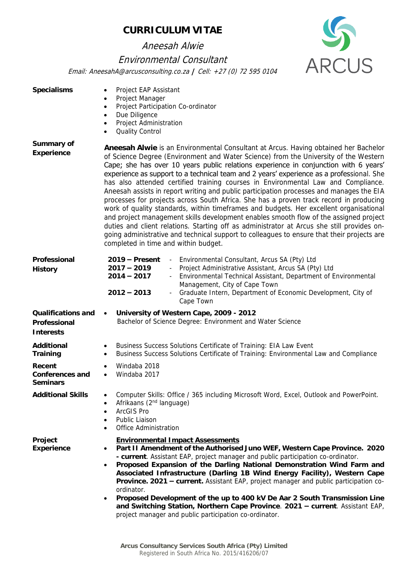Aneesah Alwie

### Environmental Consultant



**ARCUS** 

| Specialisms                                     | Project EAP Assistant<br>$\bullet$<br>Project Manager<br>$\bullet$<br>Project Participation Co-ordinator<br>$\bullet$<br>Due Diligence<br>$\bullet$<br>Project Administration<br>$\bullet$<br>Quality Control<br>$\bullet$                                                                                                                                                                                                                                                                                                                                                                                                                                                                                                                                                                                                                                                                                                                                                                                                                                        |
|-------------------------------------------------|-------------------------------------------------------------------------------------------------------------------------------------------------------------------------------------------------------------------------------------------------------------------------------------------------------------------------------------------------------------------------------------------------------------------------------------------------------------------------------------------------------------------------------------------------------------------------------------------------------------------------------------------------------------------------------------------------------------------------------------------------------------------------------------------------------------------------------------------------------------------------------------------------------------------------------------------------------------------------------------------------------------------------------------------------------------------|
| Summary of<br>Experience                        | Aneesah Alwie is an Environmental Consultant at Arcus. Having obtained her Bachelor<br>of Science Degree (Environment and Water Science) from the University of the Western<br>Cape; she has over 10 years public relations experience in conjunction with 6 years'<br>experience as support to a technical team and 2 years' experience as a professional. She<br>has also attended certified training courses in Environmental Law and Compliance.<br>Aneesah assists in report writing and public participation processes and manages the EIA<br>processes for projects across South Africa. She has a proven track record in producing<br>work of quality standards, within timeframes and budgets. Her excellent organisational<br>and project management skills development enables smooth flow of the assigned project<br>duties and client relations. Starting off as administrator at Arcus she still provides on-<br>going administrative and technical support to colleagues to ensure that their projects are<br>completed in time and within budget. |
| Professional<br>History                         | Environmental Consultant, Arcus SA (Pty) Ltd<br>$2019 -$ Present<br>Project Administrative Assistant, Arcus SA (Pty) Ltd<br>$2017 - 2019$<br>$2014 - 2017$<br>Environmental Technical Assistant, Department of Environmental<br>Management, City of Cape Town<br>Graduate Intern, Department of Economic Development, City of<br>$2012 - 2013$<br>Cape Town                                                                                                                                                                                                                                                                                                                                                                                                                                                                                                                                                                                                                                                                                                       |
| Qualifications and<br>Professional<br>Interests | University of Western Cape, 2009 - 2012<br>$\bullet$<br>Bachelor of Science Degree: Environment and Water Science                                                                                                                                                                                                                                                                                                                                                                                                                                                                                                                                                                                                                                                                                                                                                                                                                                                                                                                                                 |
| Additional<br>Training                          | Business Success Solutions Certificate of Training: EIA Law Event<br>$\bullet$<br>Business Success Solutions Certificate of Training: Environmental Law and Compliance<br>$\bullet$                                                                                                                                                                                                                                                                                                                                                                                                                                                                                                                                                                                                                                                                                                                                                                                                                                                                               |
| Recent<br>Conferences and<br>Seminars           | Windaba 2018<br>Windaba 2017<br>$\bullet$                                                                                                                                                                                                                                                                                                                                                                                                                                                                                                                                                                                                                                                                                                                                                                                                                                                                                                                                                                                                                         |
| <b>Additional Skills</b>                        | Computer Skills: Office / 365 including Microsoft Word, Excel, Outlook and PowerPoint.<br>Afrikaans (2 <sup>nd</sup> language)<br>$\bullet$<br>ArcGIS Pro<br>$\bullet$<br>Public Liaison<br>$\bullet$<br>Office Administration<br>$\bullet$                                                                                                                                                                                                                                                                                                                                                                                                                                                                                                                                                                                                                                                                                                                                                                                                                       |
| Project<br>Experience                           | <b>Environmental Impact Assessments</b><br>Part II Amendment of the Authorised Juno WEF, Western Cape Province. 2020<br>٠<br>- current. Assistant EAP, project manager and public participation co-ordinator.<br>Proposed Expansion of the Darling National Demonstration Wind Farm and<br>$\bullet$<br>Associated Infrastructure (Darling 1B Wind Energy Facility), Western Cape<br>Province. 2021 - current. Assistant EAP, project manager and public participation co-<br>ordinator.<br>Proposed Development of the up to 400 kV De Aar 2 South Transmission Line<br>$\bullet$<br>and Switching Station, Northern Cape Province. 2021 - current. Assistant EAP,<br>project manager and public participation co-ordinator.                                                                                                                                                                                                                                                                                                                                     |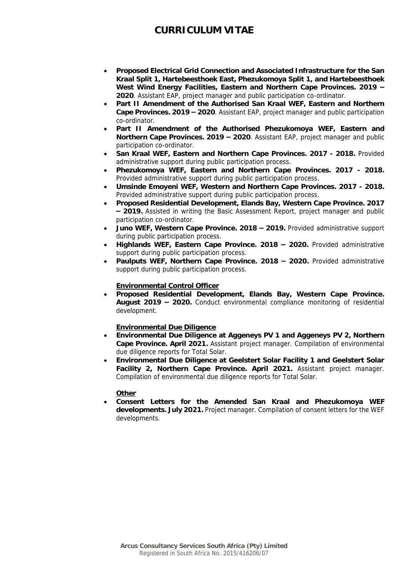- **Proposed Electrical Grid Connection and Associated Infrastructure for the San Kraal Split 1, Hartebeesthoek East, Phezukomoya Split 1, and Hartebeesthoek West Wind Energy Facilities, Eastern and Northern Cape Provinces. 2019 – 2020**. Assistant EAP, project manager and public participation co-ordinator.
- **Part II Amendment of the Authorised San Kraal WEF, Eastern and Northern Cape Provinces. 2019 – 2020**. Assistant EAP, project manager and public participation co-ordinator.
- **Part II Amendment of the Authorised Phezukomoya WEF, Eastern and Northern Cape Provinces. 2019 – 2020**. Assistant EAP, project manager and public participation co-ordinator.
- **San Kraal WEF, Eastern and Northern Cape Provinces. 2017 - 2018.** Provided administrative support during public participation process.
- **Phezukomoya WEF, Eastern and Northern Cape Provinces. 2017 - 2018.**  Provided administrative support during public participation process.
- **Umsinde Emoyeni WEF, Western and Northern Cape Provinces. 2017 - 2018.**  Provided administrative support during public participation process.
- **Proposed Residential Development, Elands Bay, Western Cape Province. 2017 – 2019.** Assisted in writing the Basic Assessment Report, project manager and public participation co-ordinator.
- **Juno WEF, Western Cape Province. 2018 – 2019.** Provided administrative support during public participation process.
- **Highlands WEF, Eastern Cape Province. 2018 – 2020.** Provided administrative support during public participation process.
- **Paulputs WEF, Northern Cape Province. 2018 – 2020.** Provided administrative support during public participation process.

#### **Environmental Control Officer**

• **Proposed Residential Development, Elands Bay, Western Cape Province. August 2019 – 2020.** Conduct environmental compliance monitoring of residential development.

#### **Environmental Due Diligence**

- **Environmental Due Diligence at Aggeneys PV 1 and Aggeneys PV 2, Northern Cape Province. April 2021.** Assistant project manager. Compilation of environmental due diligence reports for Total Solar.
- **Environmental Due Diligence at Geelstert Solar Facility 1 and Geelstert Solar Facility 2, Northern Cape Province. April 2021.** Assistant project manager. Compilation of environmental due diligence reports for Total Solar.

#### **Other**

• **Consent Letters for the Amended San Kraal and Phezukomoya WEF developments. July 2021.** Project manager. Compilation of consent letters for the WEF developments.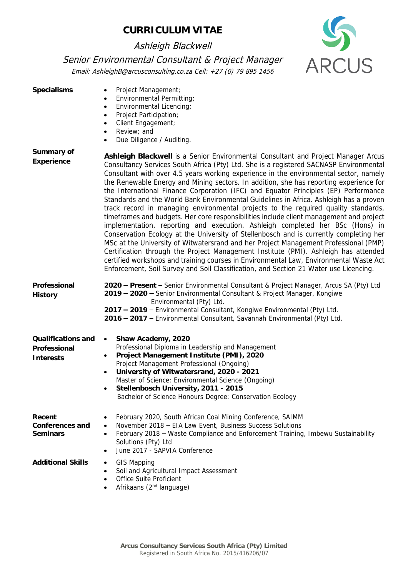Ashleigh Blackwell

Senior Environmental Consultant & Project Manager Email: AshleighB@arcusconsulting.co.za Cell: +27 (0) 79 895 1456

**ARCUS** 

| Specialisms                                     | Project Management;<br>$\bullet$<br>Environmental Permitting;<br>$\bullet$<br>Environmental Licencing;<br>$\bullet$<br>Project Participation;<br>$\bullet$<br>Client Engagement;<br>$\bullet$<br>Review; and<br>٠<br>Due Diligence / Auditing.<br>$\bullet$                                                                                                                                                                                                                                                                                                                                                                                                                                                                                                                                                                                                                                                                                                                                                                                                                                                                                                                                                                                                                   |
|-------------------------------------------------|-------------------------------------------------------------------------------------------------------------------------------------------------------------------------------------------------------------------------------------------------------------------------------------------------------------------------------------------------------------------------------------------------------------------------------------------------------------------------------------------------------------------------------------------------------------------------------------------------------------------------------------------------------------------------------------------------------------------------------------------------------------------------------------------------------------------------------------------------------------------------------------------------------------------------------------------------------------------------------------------------------------------------------------------------------------------------------------------------------------------------------------------------------------------------------------------------------------------------------------------------------------------------------|
| Summary of<br>Experience                        | Ashleigh Blackwell is a Senior Environmental Consultant and Project Manager Arcus<br>Consultancy Services South Africa (Pty) Ltd. She is a registered SACNASP Environmental<br>Consultant with over 4.5 years working experience in the environmental sector, namely<br>the Renewable Energy and Mining sectors. In addition, she has reporting experience for<br>the International Finance Corporation (IFC) and Equator Principles (EP) Performance<br>Standards and the World Bank Environmental Guidelines in Africa. Ashleigh has a proven<br>track record in managing environmental projects to the required quality standards,<br>timeframes and budgets. Her core responsibilities include client management and project<br>implementation, reporting and execution. Ashleigh completed her BSc (Hons) in<br>Conservation Ecology at the University of Stellenbosch and is currently completing her<br>MSc at the University of Witwatersrand and her Project Management Professional (PMP)<br>Certification through the Project Management Institute (PMI). Ashleigh has attended<br>certified workshops and training courses in Environmental Law, Environmental Waste Act<br>Enforcement, Soil Survey and Soil Classification, and Section 21 Water use Licencing. |
| Professional<br>History                         | 2020 - Present - Senior Environmental Consultant & Project Manager, Arcus SA (Pty) Ltd<br>2019 - 2020 - Senior Environmental Consultant & Project Manager, Kongiwe<br>Environmental (Pty) Ltd.<br>2017 - 2019 - Environmental Consultant, Kongiwe Environmental (Pty) Ltd.<br>2016 - 2017 - Environmental Consultant, Savannah Environmental (Pty) Ltd.                                                                                                                                                                                                                                                                                                                                                                                                                                                                                                                                                                                                                                                                                                                                                                                                                                                                                                                       |
| Qualifications and<br>Professional<br>Interests | Shaw Academy, 2020<br>$\bullet$<br>Professional Diploma in Leadership and Management<br>Project Management Institute (PMI), 2020<br>٠<br>Project Management Professional (Ongoing)<br>University of Witwatersrand, 2020 - 2021<br>$\bullet$<br>Master of Science: Environmental Science (Ongoing)<br>Stellenbosch University, 2011 - 2015<br>Bachelor of Science Honours Degree: Conservation Ecology                                                                                                                                                                                                                                                                                                                                                                                                                                                                                                                                                                                                                                                                                                                                                                                                                                                                         |
| Recent<br>Conferences and<br>Seminars           | February 2020, South African Coal Mining Conference, SAIMM<br>November 2018 - EIA Law Event, Business Success Solutions<br>$\bullet$<br>February 2018 - Waste Compliance and Enforcement Training, Imbewu Sustainability<br>$\bullet$<br>Solutions (Pty) Ltd<br>June 2017 - SAPVIA Conference<br>$\bullet$                                                                                                                                                                                                                                                                                                                                                                                                                                                                                                                                                                                                                                                                                                                                                                                                                                                                                                                                                                    |
| <b>Additional Skills</b>                        | GIS Mapping<br>٠<br>Soil and Agricultural Impact Assessment<br>$\bullet$<br>Office Suite Proficient<br>$\bullet$<br>Afrikaans (2 <sup>nd</sup> language)                                                                                                                                                                                                                                                                                                                                                                                                                                                                                                                                                                                                                                                                                                                                                                                                                                                                                                                                                                                                                                                                                                                      |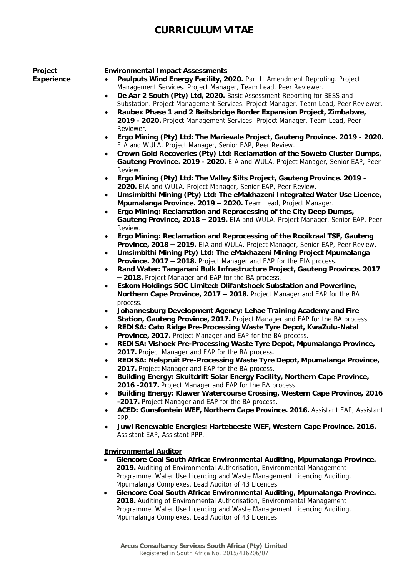**Project Experience**

#### **Environmental Impact Assessments**

- **Paulputs Wind Energy Facility, 2020.** Part II Amendment Reproting. Project Management Services. Project Manager, Team Lead, Peer Reviewer.
- **De Aar 2 South (Pty) Ltd, 2020.** Basic Assessment Reporting for BESS and Substation. Project Management Services. Project Manager, Team Lead, Peer Reviewer.
- **Raubex Phase 1 and 2 Beitsbridge Border Expansion Project, Zimbabwe, 2019 - 2020.** Project Management Services. Project Manager, Team Lead, Peer Reviewer.
- **Ergo Mining (Pty) Ltd: The Marievale Project, Gauteng Province. 2019 - 2020.**  EIA and WULA. Project Manager, Senior EAP, Peer Review.
- **Crown Gold Recoveries (Pty) Ltd: Reclamation of the Soweto Cluster Dumps, Gauteng Province. 2019 - 2020.** EIA and WULA. Project Manager, Senior EAP, Peer Review.
- **Ergo Mining (Pty) Ltd: The Valley Silts Project, Gauteng Province. 2019 - 2020.** EIA and WULA. Project Manager, Senior EAP, Peer Review.
- **Umsimbithi Mining (Pty) Ltd: The eMakhazeni Integrated Water Use Licence, Mpumalanga Province. 2019 – 2020.** Team Lead, Project Manager.
- **Ergo Mining: Reclamation and Reprocessing of the City Deep Dumps, Gauteng Province, 2018 – 2019.** EIA and WULA. Project Manager, Senior EAP, Peer Review.
- **Ergo Mining: Reclamation and Reprocessing of the Rooikraal TSF, Gauteng Province, 2018 – 2019.** EIA and WULA. Project Manager, Senior EAP, Peer Review.
- **Umsimbithi Mining Pty) Ltd: The eMakhazeni Mining Project Mpumalanga Province. 2017 – 2018.** Project Manager and EAP for the EIA process.
- **Rand Water: Tanganani Bulk Infrastructure Project, Gauteng Province. 2017 – 2018.** Project Manager and EAP for the BA process.
- **Eskom Holdings SOC Limited: Olifantshoek Substation and Powerline, Northern Cape Province, 2017 – 2018.** Project Manager and EAP for the BA process.
- **Johannesburg Development Agency: Lehae Training Academy and Fire Station, Gauteng Province, 2017.** Project Manager and EAP for the BA process
- **REDISA: Cato Ridge Pre-Processing Waste Tyre Depot, KwaZulu-Natal Province, 2017.** Project Manager and EAP for the BA process.
- **REDISA: Vishoek Pre-Processing Waste Tyre Depot, Mpumalanga Province, 2017.** Project Manager and EAP for the BA process.
- **REDISA: Nelspruit Pre-Processing Waste Tyre Depot, Mpumalanga Province, 2017.** Project Manager and EAP for the BA process.
- **Building Energy: Skuitdrift Solar Energy Facility, Northern Cape Province, 2016 -2017.** Project Manager and EAP for the BA process.
- **Building Energy: Klawer Watercourse Crossing, Western Cape Province, 2016 -2017.** Project Manager and EAP for the BA process.
- **ACED: Gunsfontein WEF, Northern Cape Province. 2016.** Assistant EAP, Assistant PPP.
- **Juwi Renewable Energies: Hartebeeste WEF, Western Cape Province. 2016.**  Assistant EAP, Assistant PPP.

#### **Environmental Auditor**

- **Glencore Coal South Africa: Environmental Auditing, Mpumalanga Province. 2019.** Auditing of Environmental Authorisation, Environmental Management Programme, Water Use Licencing and Waste Management Licencing Auditing, Mpumalanga Complexes. Lead Auditor of 43 Licences.
- **Glencore Coal South Africa: Environmental Auditing, Mpumalanga Province. 2018.** Auditing of Environmental Authorisation, Environmental Management Programme, Water Use Licencing and Waste Management Licencing Auditing, Mpumalanga Complexes. Lead Auditor of 43 Licences.